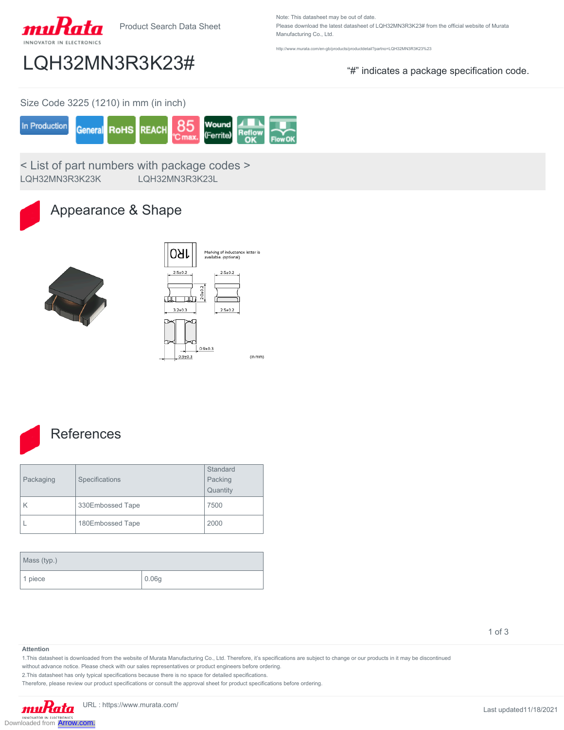

Product Search Data Sheet

Note: This datasheet may be out of date. Please download the latest datasheet of LQH32MN3R3K23# from the official website of Murata Manufacturing Co., Ltd.

http://www.murata.com/en-gb/products/productdetail?partno=LQH32MN3R3K23%23

## LQH32MN3R3K23# "#" indicates a package specification code.

Size Code 3225 (1210) in mm (in inch)



< List of part numbers with package codes > LQH32MN3R3K23K LQH32MN3R3K23L

## Appearance & Shape





### **References**

| Packaging | Specifications   | Standard<br>Packing<br>Quantity |
|-----------|------------------|---------------------------------|
| K         | 330Embossed Tape | 7500                            |
|           | 180Embossed Tape | 2000                            |

| Mass (typ.) |                     |  |
|-------------|---------------------|--|
| 1 piece     | $\vert 0.06g \vert$ |  |

1 of 3

#### **Attention**

1.This datasheet is downloaded from the website of Murata Manufacturing Co., Ltd. Therefore, it's specifications are subject to change or our products in it may be discontinued

without advance notice. Please check with our sales representatives or product engineers before ordering.

2.This datasheet has only typical specifications because there is no space for detailed specifications.

Therefore, please review our product specifications or consult the approval sheet for product specifications before ordering.

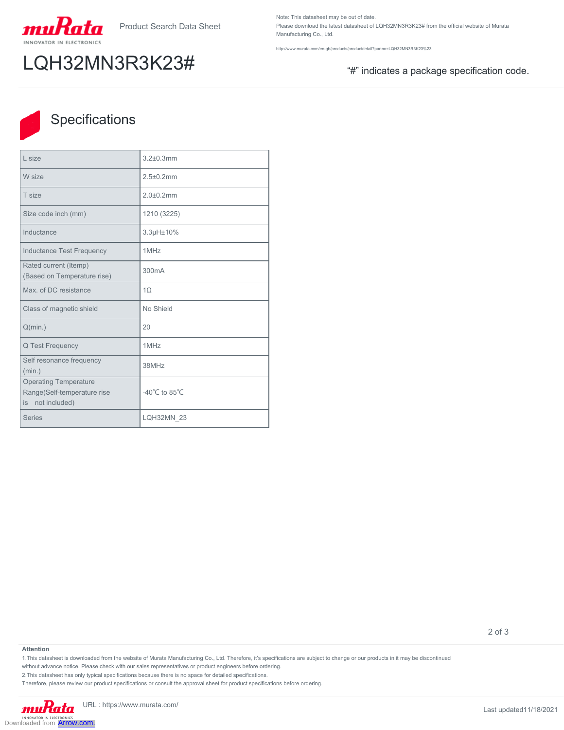

# LQH32MN3R3K23# "#" indicates a package specification code.

Note: This datasheet may be out of date. Please download the latest datasheet of LQH32MN3R3K23# from the official website of Murata Manufacturing Co., Ltd.

http://www.murata.com/en-gb/products/productdetail?partno=LQH32MN3R3K23%23



### Specifications

| I size                                                                             | $3.2 + 0.3$ mm                      |
|------------------------------------------------------------------------------------|-------------------------------------|
| W size                                                                             | $2.5 \pm 0.2$ mm                    |
| T size                                                                             | $2.0 + 0.2$ mm                      |
| Size code inch (mm)                                                                | 1210 (3225)                         |
| Inductance                                                                         | 3.3µH±10%                           |
| <b>Inductance Test Frequency</b>                                                   | 1MHz                                |
| Rated current (Itemp)<br>(Based on Temperature rise)                               | 300mA                               |
| Max. of DC resistance                                                              | $1\Omega$                           |
| Class of magnetic shield                                                           | No Shield                           |
| Q(min.)                                                                            | 20                                  |
| Q Test Frequency                                                                   | 1MHz                                |
| Self resonance frequency<br>(min.)                                                 | 38MHz                               |
| <b>Operating Temperature</b><br>Range(Self-temperature rise<br>not included)<br>is | -40 $^{\circ}$ C to 85 $^{\circ}$ C |
| <b>Series</b>                                                                      | <b>LQH32MN 23</b>                   |

2 of 3

#### **Attention**

1.This datasheet is downloaded from the website of Murata Manufacturing Co., Ltd. Therefore, it's specifications are subject to change or our products in it may be discontinued

without advance notice. Please check with our sales representatives or product engineers before ordering.

2.This datasheet has only typical specifications because there is no space for detailed specifications.

Therefore, please review our product specifications or consult the approval sheet for product specifications before ordering.